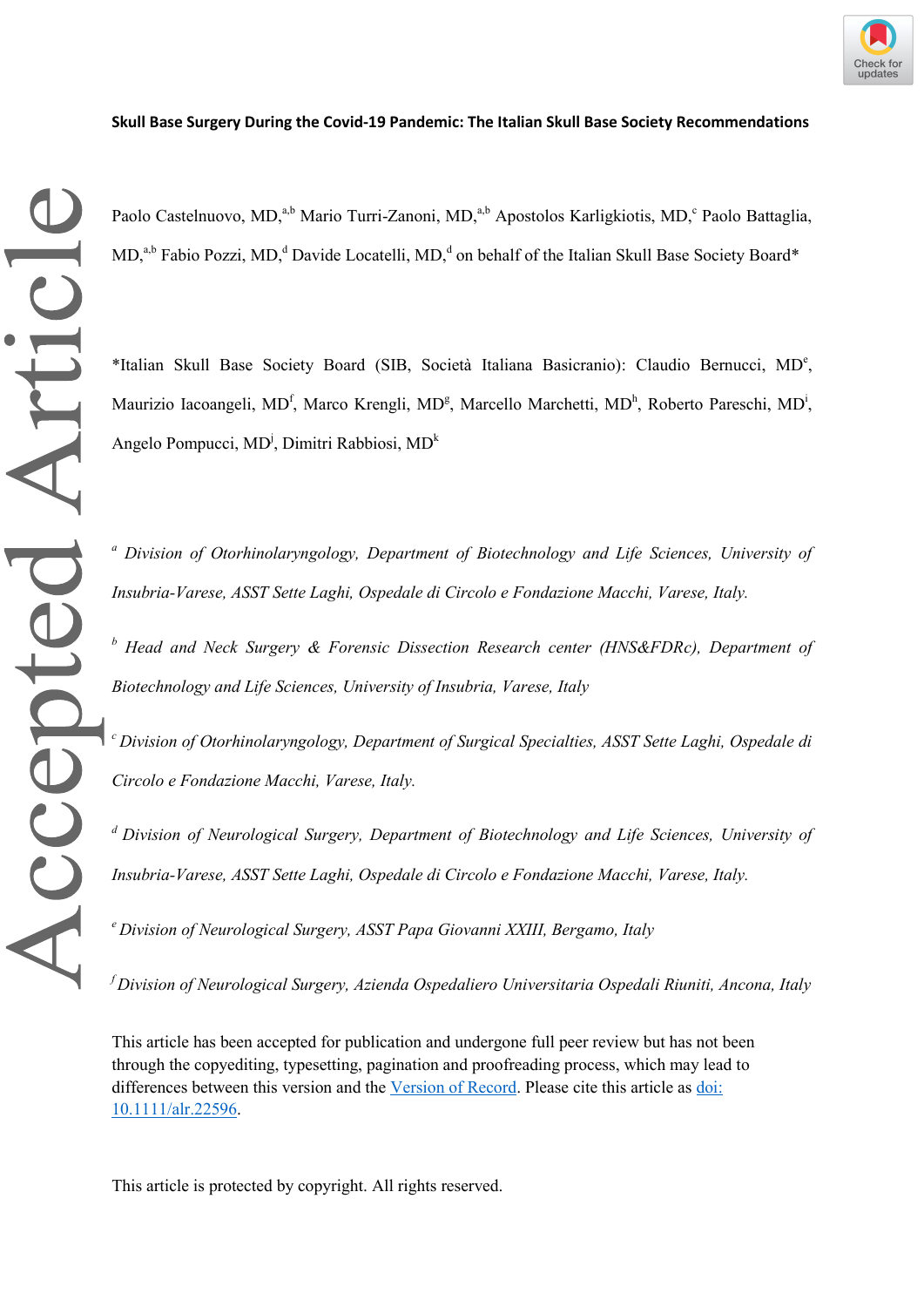## **Skull Base Surgery During the Covid-19 Pandemic: The Italian Skull Base Society Recommendations**

Accepted Article

Paolo Castelnuovo, MD,<sup>a,b</sup> Mario Turri-Zanoni, MD,<sup>a,b</sup> Apostolos Karligkiotis, MD,<sup>c</sup> Paolo Battaglia, MD,<sup>a,b</sup> Fabio Pozzi, MD,<sup>d</sup> Davide Locatelli, MD,<sup>d</sup> on behalf of the Italian Skull Base Society Board\*

\*Italian Skull Base Society Board (SIB, Società Italiana Basicranio): Claudio Bernucci, MD<sup>e</sup> , Maurizio Iacoangeli, MD<sup>f</sup>, Marco Krengli, MD<sup>g</sup>, Marcello Marchetti, MD<sup>h</sup>, Roberto Pareschi, MD<sup>i</sup>, Angelo Pompucci, MD<sup>i</sup>, Dimitri Rabbiosi, MD<sup>k</sup>

*<sup>a</sup> Division of Otorhinolaryngology, Department of Biotechnology and Life Sciences, University of Insubria-Varese, ASST Sette Laghi, Ospedale di Circolo e Fondazione Macchi, Varese, Italy.*

*<sup>b</sup> Head and Neck Surgery & Forensic Dissection Research center (HNS&FDRc), Department of Biotechnology and Life Sciences, University of Insubria, Varese, Italy*

*<sup>c</sup>Division of Otorhinolaryngology, Department of Surgical Specialties, ASST Sette Laghi, Ospedale di Circolo e Fondazione Macchi, Varese, Italy.*

*<sup>d</sup>Division of Neurological Surgery, Department of Biotechnology and Life Sciences, University of Insubria-Varese, ASST Sette Laghi, Ospedale di Circolo e Fondazione Macchi, Varese, Italy.*

*<sup>e</sup>Division of Neurological Surgery, ASST Papa Giovanni XXIII, Bergamo, Italy*

*<sup>f</sup>Division of Neurological Surgery, Azienda Ospedaliero Universitaria Ospedali Riuniti, Ancona, Italy*

This article has been accepted for publication and undergone full peer review but has not been through the copyediting, typesetting, pagination and proofreading process, which may lead to differences between this version and the [Version of Record.](https://doi.org/10.1111/alr.22596) Please cite this article as [doi:](https://doi.org/10.1111/alr.22596)  [10.1111/alr.22596.](https://doi.org/10.1111/alr.22596)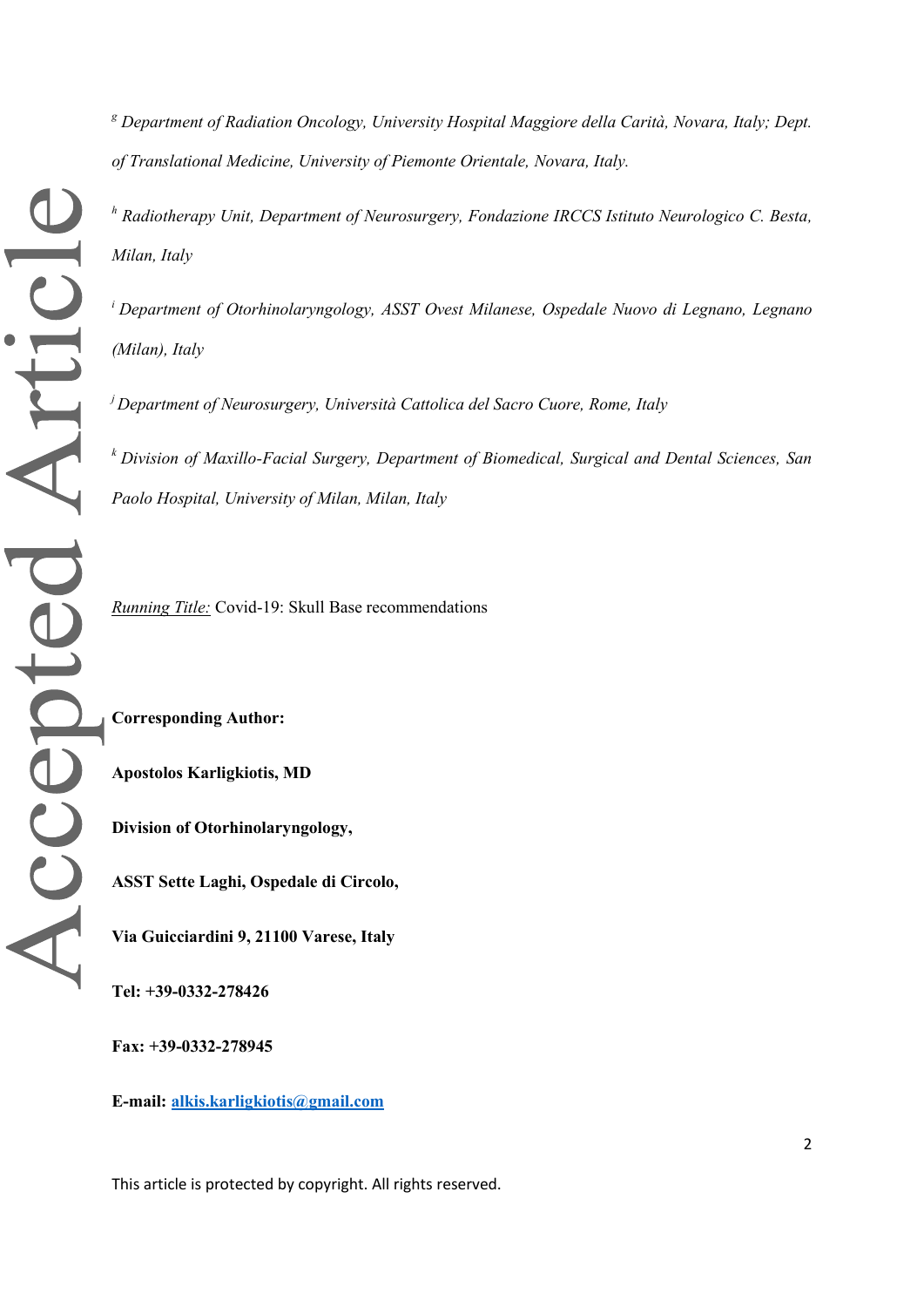*<sup>g</sup> Department of Radiation Oncology, University Hospital Maggiore della Carità, Novara, Italy; Dept. of Translational Medicine, University of Piemonte Orientale, Novara, Italy.*

*<sup>h</sup> Radiotherapy Unit, Department of Neurosurgery, Fondazione IRCCS Istituto Neurologico C. Besta, Milan, Italy*

*<sup>i</sup> Department of Otorhinolaryngology, ASST Ovest Milanese, Ospedale Nuovo di Legnano, Legnano (Milan), Italy*

*<sup>j</sup>Department of Neurosurgery, Università Cattolica del Sacro Cuore, Rome, Italy*

*<sup>k</sup>Division of Maxillo-Facial Surgery, Department of Biomedical, Surgical and Dental Sciences, San Paolo Hospital, University of Milan, Milan, Italy*

*Running Title:* Covid-19: Skull Base recommendations

**Corresponding Author:**

**Apostolos Karligkiotis, MD**

**Division of Otorhinolaryngology,** 

**ASST Sette Laghi, Ospedale di Circolo,** 

**Via Guicciardini 9, 21100 Varese, Italy**

**Tel: +39-0332-278426**

**Fax: +39-0332-278945**

**E-mail: [alkis.karligkiotis@gmail.com](mailto:alkis.karligkiotis@gmail.com)**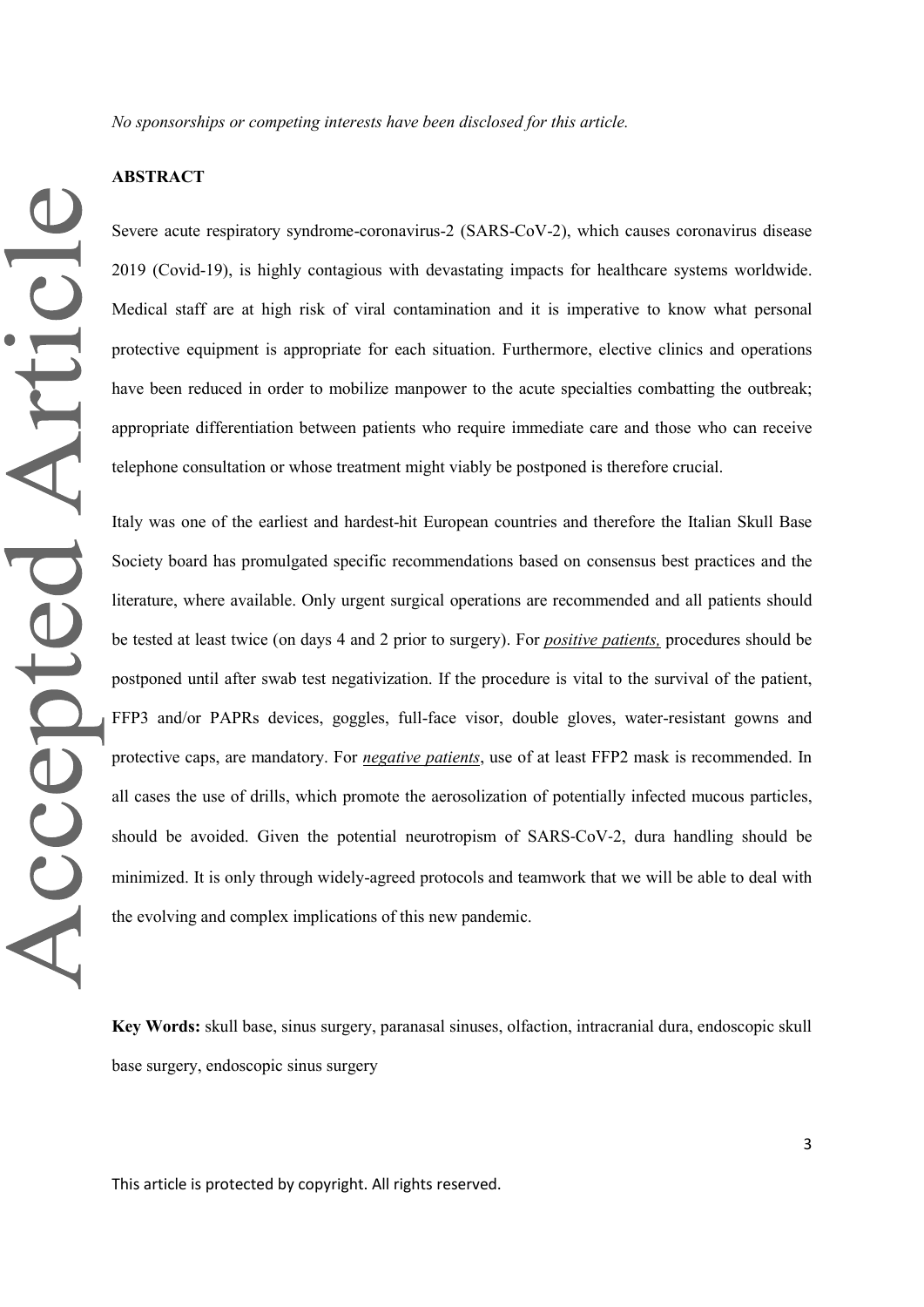*No sponsorships or competing interests have been disclosed for this article.*

#### **ABSTRACT**

Severe acute respiratory syndrome-coronavirus-2 (SARS-CoV-2), which causes coronavirus disease 2019 (Covid-19), is highly contagious with devastating impacts for healthcare systems worldwide. Medical staff are at high risk of viral contamination and it is imperative to know what personal protective equipment is appropriate for each situation. Furthermore, elective clinics and operations have been reduced in order to mobilize manpower to the acute specialties combatting the outbreak; appropriate differentiation between patients who require immediate care and those who can receive telephone consultation or whose treatment might viably be postponed is therefore crucial.

Italy was one of the earliest and hardest-hit European countries and therefore the Italian Skull Base Society board has promulgated specific recommendations based on consensus best practices and the literature, where available. Only urgent surgical operations are recommended and all patients should be tested at least twice (on days 4 and 2 prior to surgery). For *positive patients,* procedures should be postponed until after swab test negativization. If the procedure is vital to the survival of the patient, FFP3 and/or PAPRs devices, goggles, full-face visor, double gloves, water-resistant gowns and protective caps, are mandatory. For *negative patients*, use of at least FFP2 mask is recommended. In all cases the use of drills, which promote the aerosolization of potentially infected mucous particles, should be avoided. Given the potential neurotropism of SARS‐CoV‐2, dura handling should be minimized. It is only through widely-agreed protocols and teamwork that we will be able to deal with the evolving and complex implications of this new pandemic.

**Key Words:** skull base, sinus surgery, paranasal sinuses, olfaction, intracranial dura, endoscopic skull base surgery, endoscopic sinus surgery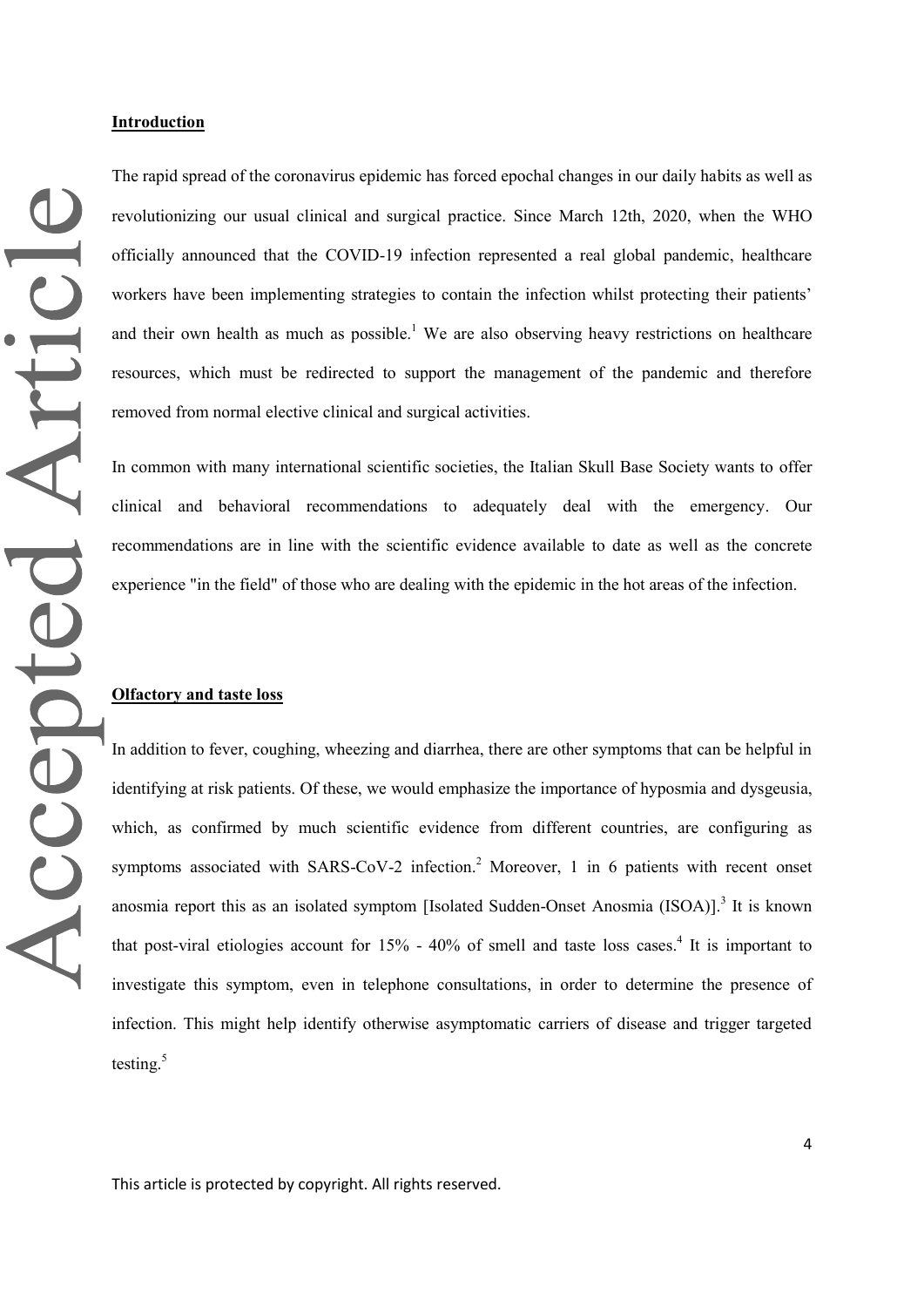The rapid spread of the coronavirus epidemic has forced epochal changes in our daily habits as well as revolutionizing our usual clinical and surgical practice. Since March 12th, 2020, when the WHO officially announced that the COVID-19 infection represented a real global pandemic, healthcare workers have been implementing strategies to contain the infection whilst protecting their patients' and their own health as much as possible.<sup>1</sup> We are also observing heavy restrictions on healthcare resources, which must be redirected to support the management of the pandemic and therefore removed from normal elective clinical and surgical activities.

In common with many international scientific societies, the Italian Skull Base Society wants to offer clinical and behavioral recommendations to adequately deal with the emergency. Our recommendations are in line with the scientific evidence available to date as well as the concrete experience "in the field" of those who are dealing with the epidemic in the hot areas of the infection.

### **Olfactory and taste loss**

In addition to fever, coughing, wheezing and diarrhea, there are other symptoms that can be helpful in identifying at risk patients. Of these, we would emphasize the importance of hyposmia and dysgeusia, which, as confirmed by much scientific evidence from different countries, are configuring as symptoms associated with SARS-CoV-2 infection.<sup>2</sup> Moreover, 1 in 6 patients with recent onset anosmia report this as an isolated symptom [Isolated Sudden-Onset Anosmia (ISOA)].<sup>3</sup> It is known that post-viral etiologies account for 15% - 40% of smell and taste loss cases. 4 It is important to investigate this symptom, even in telephone consultations, in order to determine the presence of infection. This might help identify otherwise asymptomatic carriers of disease and trigger targeted testing. 5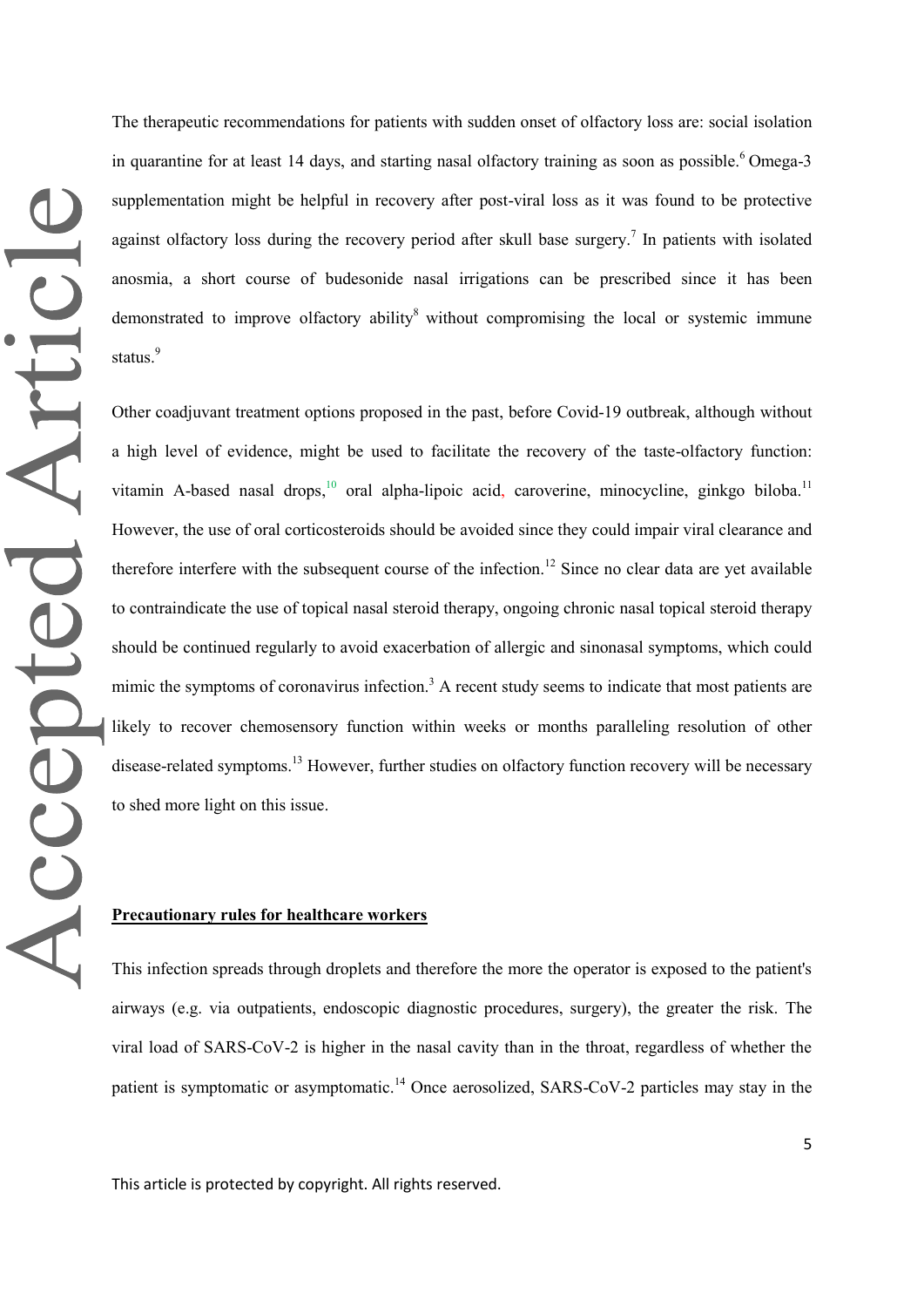The therapeutic recommendations for patients with sudden onset of olfactory loss are: social isolation in quarantine for at least 14 days, and starting nasal olfactory training as soon as possible.<sup>6</sup> Omega-3 supplementation might be helpful in recovery after post-viral loss as it was found to be protective against olfactory loss during the recovery period after skull base surgery.<sup>7</sup> In patients with isolated anosmia, a short course of budesonide nasal irrigations can be prescribed since it has been demonstrated to improve olfactory ability<sup>8</sup> without compromising the local or systemic immune status.<sup>9</sup>

Other coadjuvant treatment options proposed in the past, before Covid-19 outbreak, although without a high level of evidence, might be used to facilitate the recovery of the taste-olfactory function: vitamin A-based nasal drops,<sup>10</sup> oral alpha-lipoic acid, caroverine, minocycline, ginkgo biloba.<sup>11</sup> However, the use of oral corticosteroids should be avoided since they could impair viral clearance and therefore interfere with the subsequent course of the infection.<sup>12</sup> Since no clear data are yet available to contraindicate the use of topical nasal steroid therapy, ongoing chronic nasal topical steroid therapy should be continued regularly to avoid exacerbation of allergic and sinonasal symptoms, which could mimic the symptoms of coronavirus infection.<sup>3</sup> A recent study seems to indicate that most patients are likely to recover chemosensory function within weeks or months paralleling resolution of other disease-related symptoms.<sup>13</sup> However, further studies on olfactory function recovery will be necessary to shed more light on this issue.

#### **Precautionary rules for healthcare workers**

This infection spreads through droplets and therefore the more the operator is exposed to the patient's airways (e.g. via outpatients, endoscopic diagnostic procedures, surgery), the greater the risk. The viral load of SARS-CoV-2 is higher in the nasal cavity than in the throat, regardless of whether the patient is symptomatic or asymptomatic.<sup>14</sup> Once aerosolized, SARS-CoV-2 particles may stay in the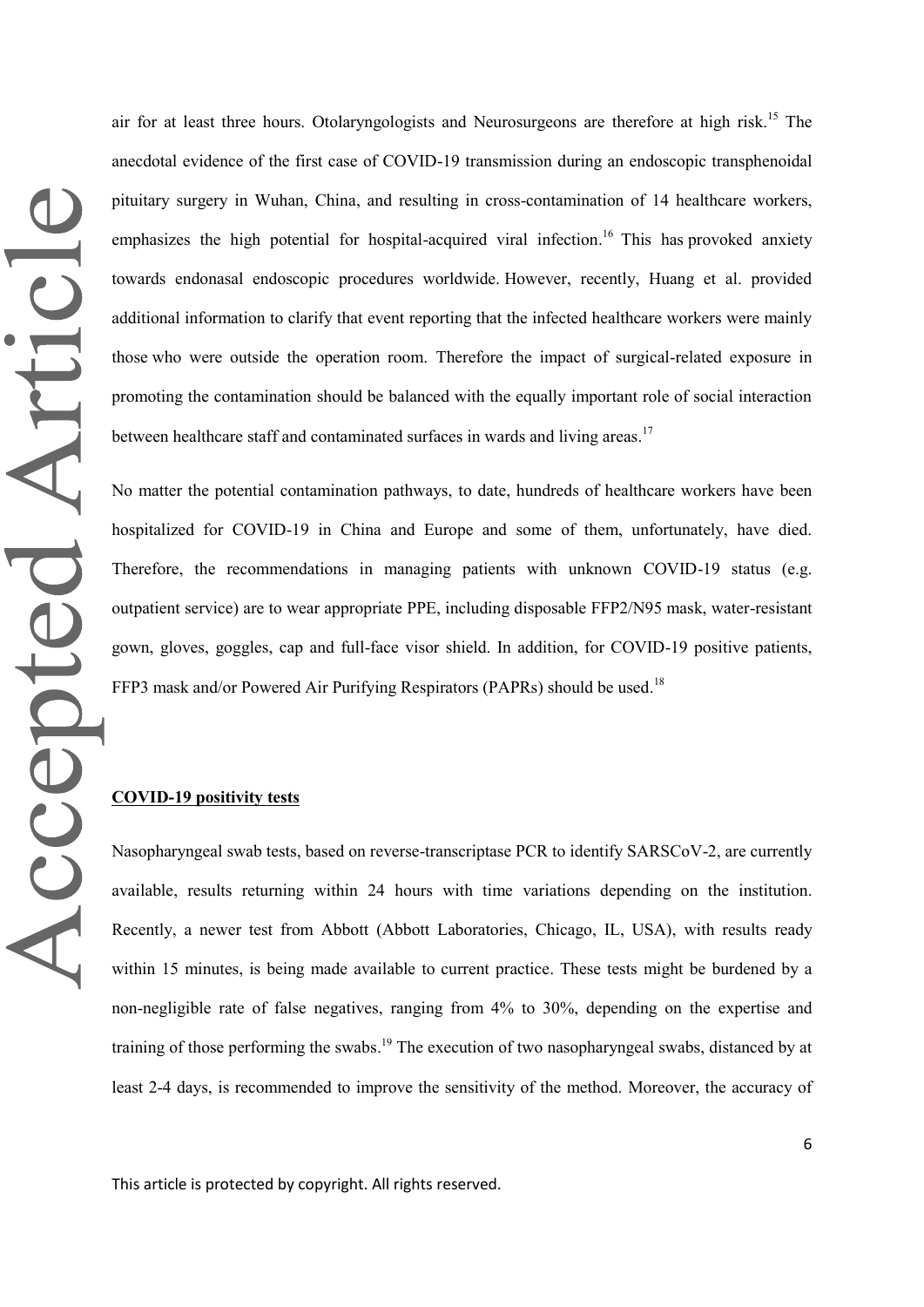air for at least three hours. Otolaryngologists and Neurosurgeons are therefore at high risk.<sup>15</sup> The anecdotal evidence of the first case of COVID-19 transmission during an endoscopic transphenoidal pituitary surgery in Wuhan, China, and resulting in cross-contamination of 14 healthcare workers, emphasizes the high potential for hospital-acquired viral infection.<sup>16</sup> This has provoked anxiety towards endonasal endoscopic procedures worldwide. However, recently, Huang et al. provided additional information to clarify that event reporting that the infected healthcare workers were mainly those who were outside the operation room. Therefore the impact of surgical-related exposure in promoting the contamination should be balanced with the equally important role of social interaction between healthcare staff and contaminated surfaces in wards and living areas.<sup>17</sup>

No matter the potential contamination pathways, to date, hundreds of healthcare workers have been hospitalized for COVID-19 in China and Europe and some of them, unfortunately, have died. Therefore, the recommendations in managing patients with unknown COVID-19 status (e.g. outpatient service) are to wear appropriate PPE, including disposable FFP2/N95 mask, water-resistant gown, gloves, goggles, cap and full-face visor shield. In addition, for COVID-19 positive patients, FFP3 mask and/or Powered Air Purifying Respirators (PAPRs) should be used.<sup>18</sup>

## **COVID-19 positivity tests**

Nasopharyngeal swab tests, based on reverse-transcriptase PCR to identify SARSCoV-2, are currently available, results returning within 24 hours with time variations depending on the institution. Recently, a newer test from Abbott (Abbott Laboratories, Chicago, IL, USA), with results ready within 15 minutes, is being made available to current practice. These tests might be burdened by a non-negligible rate of false negatives, ranging from 4% to 30%, depending on the expertise and training of those performing the swabs.<sup>19</sup> The execution of two nasopharyngeal swabs, distanced by at least 2-4 days, is recommended to improve the sensitivity of the method. Moreover, the accuracy of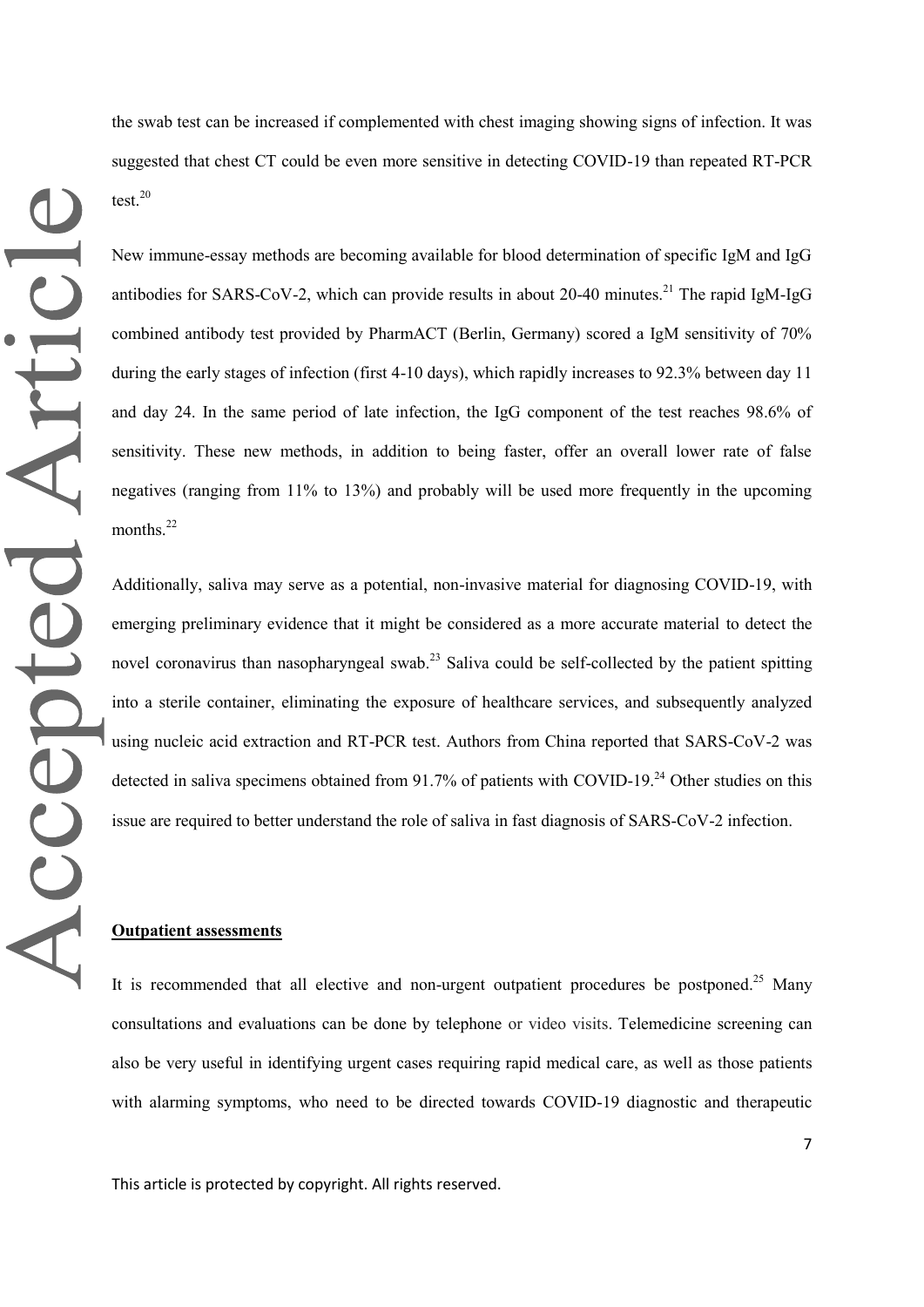the swab test can be increased if complemented with chest imaging showing signs of infection. It was suggested that chest CT could be even more sensitive in detecting COVID-19 than repeated RT-PCR test. 20

New immune-essay methods are becoming available for blood determination of specific IgM and IgG antibodies for SARS-CoV-2, which can provide results in about 20-40 minutes.<sup>21</sup> The rapid IgM-IgG combined antibody test provided by PharmACT (Berlin, Germany) scored a IgM sensitivity of 70% during the early stages of infection (first 4-10 days), which rapidly increases to 92.3% between day 11 and day 24. In the same period of late infection, the IgG component of the test reaches 98.6% of sensitivity. These new methods, in addition to being faster, offer an overall lower rate of false negatives (ranging from 11% to 13%) and probably will be used more frequently in the upcoming months.<sup>22</sup>

Additionally, saliva may serve as a potential, non-invasive material for diagnosing COVID-19, with emerging preliminary evidence that it might be considered as a more accurate material to detect the novel coronavirus than nasopharyngeal swab.<sup>23</sup> Saliva could be self-collected by the patient spitting into a sterile container, eliminating the exposure of healthcare services, and subsequently analyzed using nucleic acid extraction and RT-PCR test. Authors from China reported that SARS-CoV-2 was detected in saliva specimens obtained from 91.7% of patients with COVID-19.<sup>24</sup> Other studies on this issue are required to better understand the role of saliva in fast diagnosis of SARS-CoV-2 infection.

# **Outpatient assessments**

It is recommended that all elective and non-urgent outpatient procedures be postponed.<sup>25</sup> Many consultations and evaluations can be done by telephone or video visits. Telemedicine screening can also be very useful in identifying urgent cases requiring rapid medical care, as well as those patients with alarming symptoms, who need to be directed towards COVID-19 diagnostic and therapeutic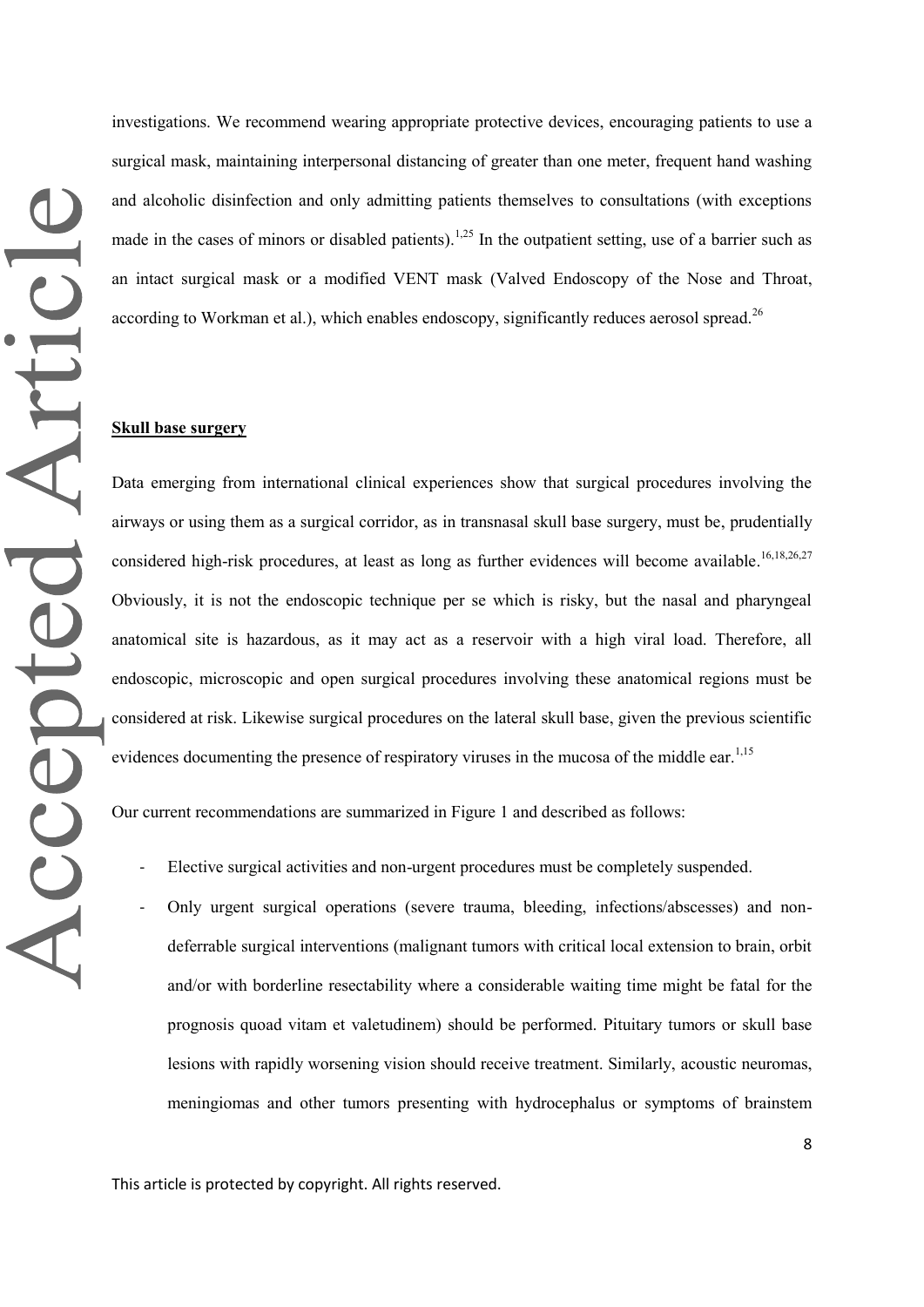investigations. We recommend wearing appropriate protective devices, encouraging patients to use a surgical mask, maintaining interpersonal distancing of greater than one meter, frequent hand washing and alcoholic disinfection and only admitting patients themselves to consultations (with exceptions made in the cases of minors or disabled patients).<sup>1,25</sup> In the outpatient setting, use of a barrier such as an intact surgical mask or a modified VENT mask (Valved Endoscopy of the Nose and Throat, according to Workman et al.), which enables endoscopy, significantly reduces aerosol spread.<sup>26</sup>

#### **Skull base surgery**

Data emerging from international clinical experiences show that surgical procedures involving the airways or using them as a surgical corridor, as in transnasal skull base surgery, must be, prudentially considered high-risk procedures, at least as long as further evidences will become available.<sup>16,18,26,27</sup> Obviously, it is not the endoscopic technique per se which is risky, but the nasal and pharyngeal anatomical site is hazardous, as it may act as a reservoir with a high viral load. Therefore, all endoscopic, microscopic and open surgical procedures involving these anatomical regions must be considered at risk. Likewise surgical procedures on the lateral skull base, given the previous scientific evidences documenting the presence of respiratory viruses in the mucosa of the middle ear.<sup>1,15</sup>

Our current recommendations are summarized in Figure 1 and described as follows:

- Elective surgical activities and non-urgent procedures must be completely suspended.
- Only urgent surgical operations (severe trauma, bleeding, infections/abscesses) and nondeferrable surgical interventions (malignant tumors with critical local extension to brain, orbit and/or with borderline resectability where a considerable waiting time might be fatal for the prognosis quoad vitam et valetudinem) should be performed. Pituitary tumors or skull base lesions with rapidly worsening vision should receive treatment. Similarly, acoustic neuromas, meningiomas and other tumors presenting with hydrocephalus or symptoms of brainstem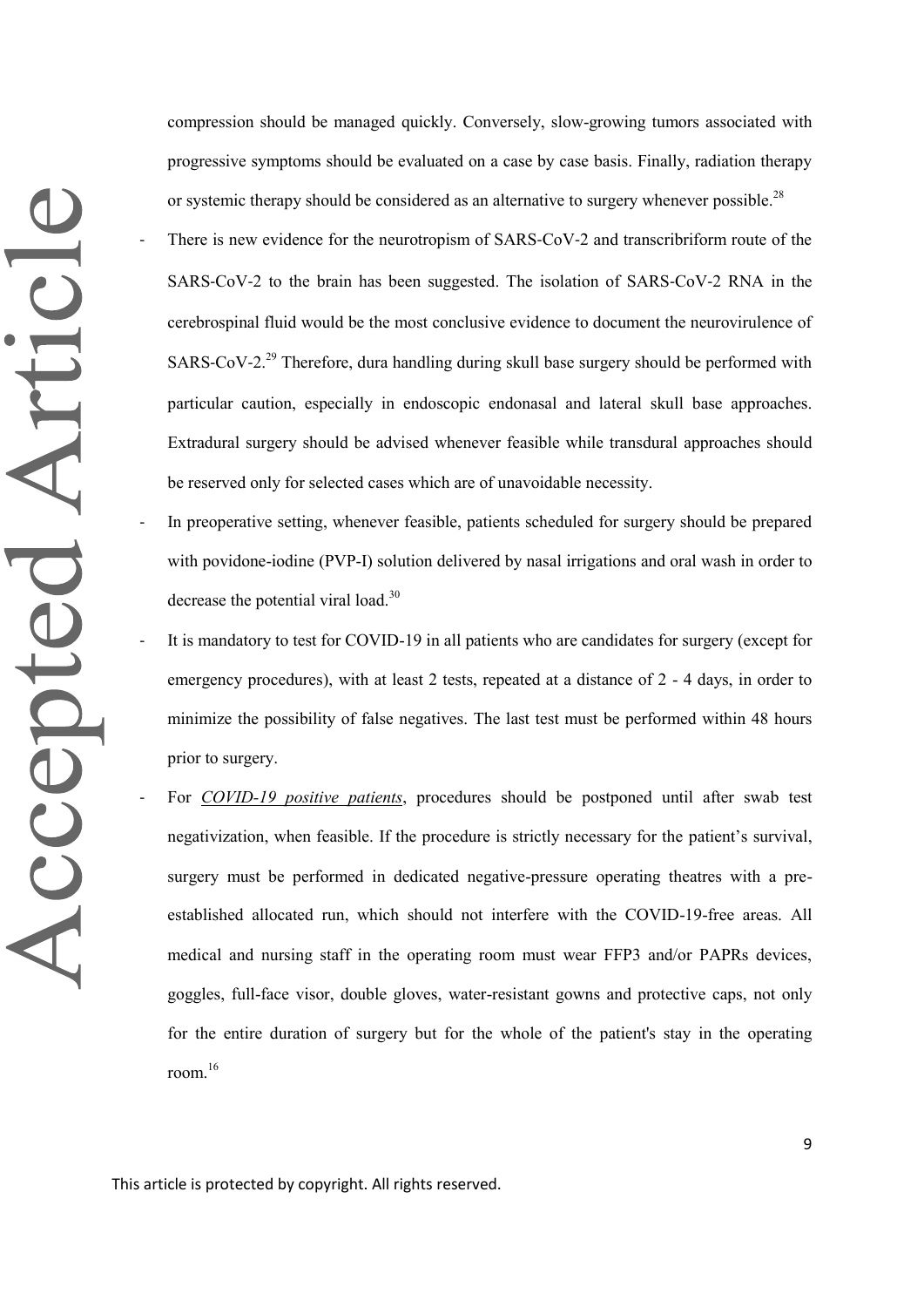compression should be managed quickly. Conversely, slow-growing tumors associated with progressive symptoms should be evaluated on a case by case basis. Finally, radiation therapy or systemic therapy should be considered as an alternative to surgery whenever possible.<sup>28</sup> There is new evidence for the neurotropism of SARS–CoV–2 and transcribriform route of the SARS‐CoV‐2 to the brain has been suggested. The isolation of SARS‐CoV‐2 RNA in the cerebrospinal fluid would be the most conclusive evidence to document the neurovirulence of SARS-CoV-2.<sup>29</sup> Therefore, dura handling during skull base surgery should be performed with particular caution, especially in endoscopic endonasal and lateral skull base approaches. Extradural surgery should be advised whenever feasible while transdural approaches should be reserved only for selected cases which are of unavoidable necessity.

- In preoperative setting, whenever feasible, patients scheduled for surgery should be prepared with povidone-iodine (PVP-I) solution delivered by nasal irrigations and oral wash in order to decrease the potential viral load. $30$
- It is mandatory to test for COVID-19 in all patients who are candidates for surgery (except for emergency procedures), with at least 2 tests, repeated at a distance of 2 - 4 days, in order to minimize the possibility of false negatives. The last test must be performed within 48 hours prior to surgery.
	- For *COVID-19 positive patients*, procedures should be postponed until after swab test negativization, when feasible. If the procedure is strictly necessary for the patient's survival, surgery must be performed in dedicated negative-pressure operating theatres with a preestablished allocated run, which should not interfere with the COVID-19-free areas. All medical and nursing staff in the operating room must wear FFP3 and/or PAPRs devices, goggles, full-face visor, double gloves, water-resistant gowns and protective caps, not only for the entire duration of surgery but for the whole of the patient's stay in the operating room. 16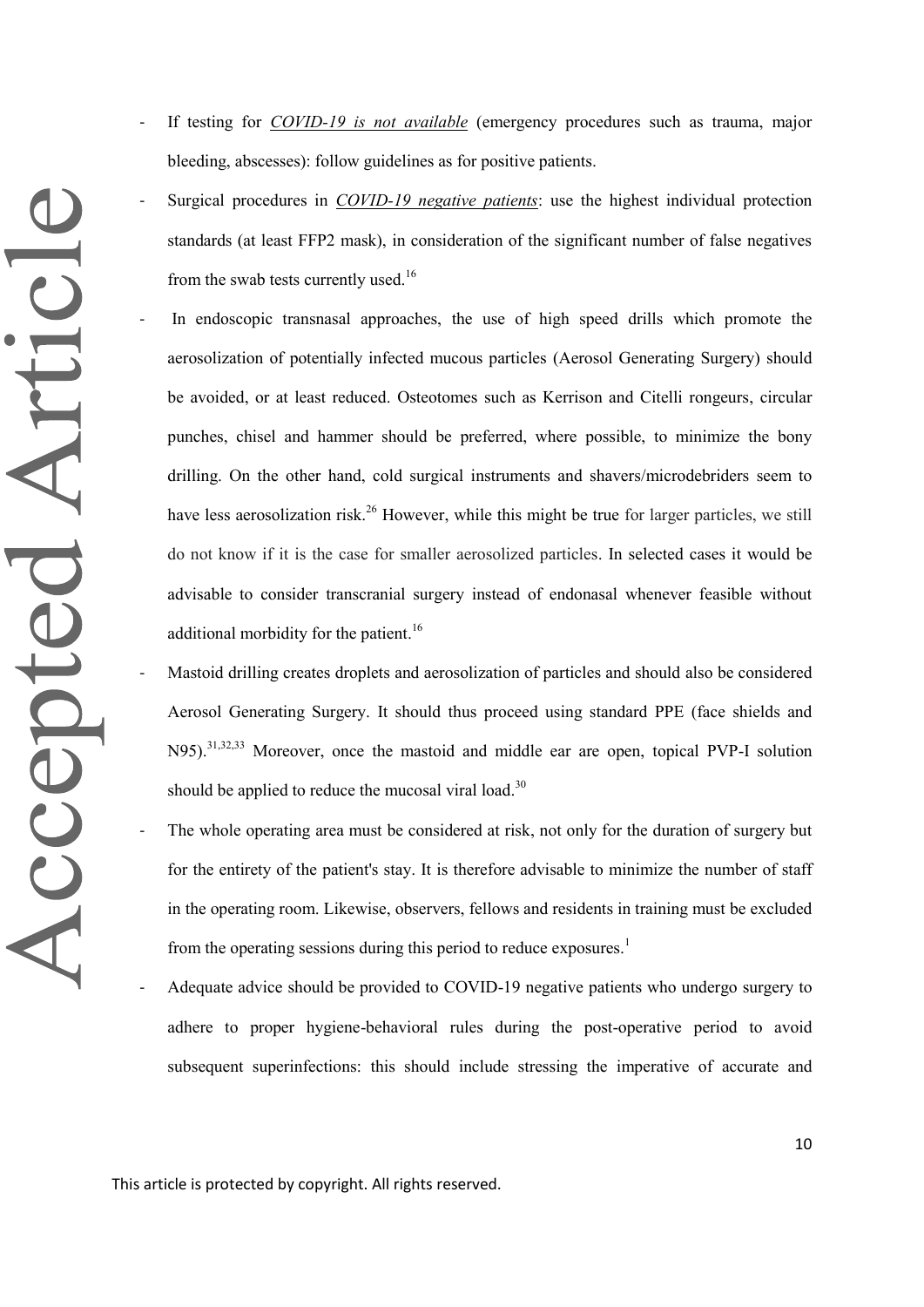- If testing for *COVID-19 is not available* (emergency procedures such as trauma, major bleeding, abscesses): follow guidelines as for positive patients.
- Surgical procedures in *COVID-19 negative patients*: use the highest individual protection standards (at least FFP2 mask), in consideration of the significant number of false negatives from the swab tests currently used.<sup>16</sup>

In endoscopic transnasal approaches, the use of high speed drills which promote the aerosolization of potentially infected mucous particles (Aerosol Generating Surgery) should be avoided, or at least reduced. Osteotomes such as Kerrison and Citelli rongeurs, circular punches, chisel and hammer should be preferred, where possible, to minimize the bony drilling. On the other hand, cold surgical instruments and shavers/microdebriders seem to have less aerosolization risk.<sup>26</sup> However, while this might be true for larger particles, we still do not know if it is the case for smaller aerosolized particles. In selected cases it would be advisable to consider transcranial surgery instead of endonasal whenever feasible without additional morbidity for the patient.<sup>16</sup>

- Mastoid drilling creates droplets and aerosolization of particles and should also be considered Aerosol Generating Surgery. It should thus proceed using standard PPE (face shields and N95).<sup>31,32,33</sup> Moreover, once the mastoid and middle ear are open, topical PVP-I solution should be applied to reduce the mucosal viral load.<sup>30</sup>
- The whole operating area must be considered at risk, not only for the duration of surgery but for the entirety of the patient's stay. It is therefore advisable to minimize the number of staff in the operating room. Likewise, observers, fellows and residents in training must be excluded from the operating sessions during this period to reduce exposures.<sup>1</sup>
	- Adequate advice should be provided to COVID-19 negative patients who undergo surgery to adhere to proper hygiene-behavioral rules during the post-operative period to avoid subsequent superinfections: this should include stressing the imperative of accurate and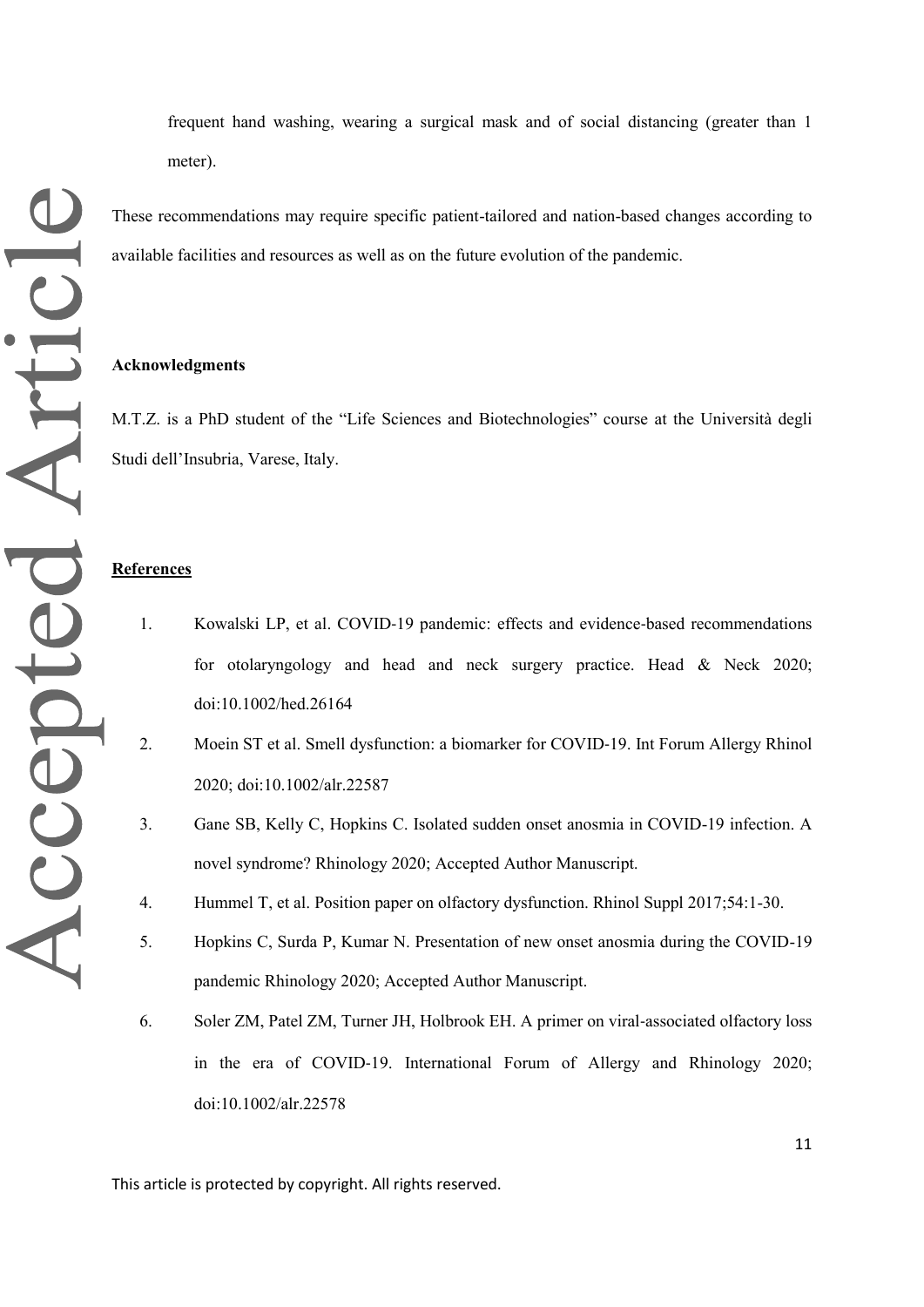frequent hand washing, wearing a surgical mask and of social distancing (greater than 1 meter).

These recommendations may require specific patient-tailored and nation-based changes according to available facilities and resources as well as on the future evolution of the pandemic.

#### **Acknowledgments**

M.T.Z. is a PhD student of the "Life Sciences and Biotechnologies" course at the Università degli Studi dell'Insubria, Varese, Italy.

# **References**

- 1. Kowalski LP, et al. COVID‐19 pandemic: effects and evidence‐based recommendations for otolaryngology and head and neck surgery practice. Head & Neck 2020; doi:10.1002/hed.26164
- 2. Moein ST et al. Smell dysfunction: a biomarker for COVID-19. Int Forum Allergy Rhinol 2020; doi:10.1002/alr.22587
- 3. Gane SB, Kelly C, Hopkins C. Isolated sudden onset anosmia in COVID-19 infection. A novel syndrome? Rhinology 2020; Accepted Author Manuscript.
- 4. Hummel T, et al. Position paper on olfactory dysfunction. Rhinol Suppl 2017;54:1-30.
- 5. Hopkins C, Surda P, Kumar N. Presentation of new onset anosmia during the COVID-19 pandemic Rhinology 2020; Accepted Author Manuscript.
- 6. Soler ZM, Patel ZM, Turner JH, Holbrook EH. A primer on viral‐associated olfactory loss in the era of COVID‐19. International Forum of Allergy and Rhinology 2020; doi:10.1002/alr.22578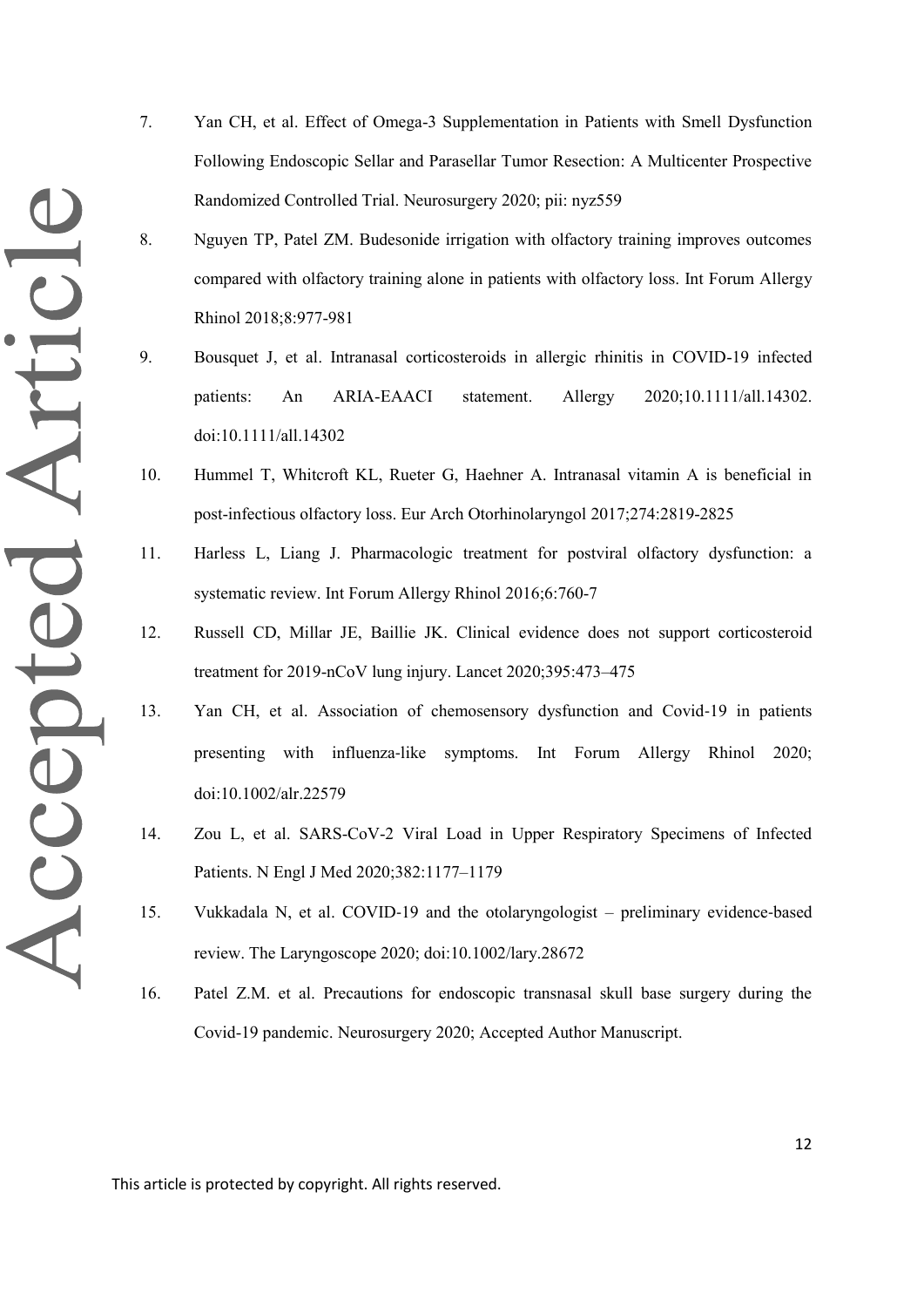- 7. Yan CH, et al. Effect of Omega-3 Supplementation in Patients with Smell Dysfunction Following Endoscopic Sellar and Parasellar Tumor Resection: A Multicenter Prospective Randomized Controlled Trial. Neurosurgery 2020; pii: nyz559
- 8. Nguyen TP, Patel ZM. Budesonide irrigation with olfactory training improves outcomes compared with olfactory training alone in patients with olfactory loss. Int Forum Allergy Rhinol 2018;8:977-981
- 9. Bousquet J, et al. Intranasal corticosteroids in allergic rhinitis in COVID-19 infected patients: An ARIA-EAACI statement. Allergy 2020;10.1111/all.14302. doi:10.1111/all.14302
- 10. Hummel T, Whitcroft KL, Rueter G, Haehner A. Intranasal vitamin A is beneficial in post-infectious olfactory loss. Eur Arch Otorhinolaryngol 2017;274:2819-2825
- 11. Harless L, Liang J. Pharmacologic treatment for postviral olfactory dysfunction: a systematic review. Int Forum Allergy Rhinol 2016;6:760-7
- 12. Russell CD, Millar JE, Baillie JK. Clinical evidence does not support corticosteroid treatment for 2019-nCoV lung injury. Lancet 2020;395:473–475
- 13. Yan CH, et al. Association of chemosensory dysfunction and Covid‐19 in patients presenting with influenza-like symptoms. Int Forum Allergy Rhinol 2020; doi:10.1002/alr.22579
- 14. Zou L, et al. SARS-CoV-2 Viral Load in Upper Respiratory Specimens of Infected Patients. N Engl J Med 2020;382:1177–1179
- 15. Vukkadala N, et al. COVID‐19 and the otolaryngologist preliminary evidence‐based review. The Laryngoscope 2020; doi:10.1002/lary.28672
- 16. Patel Z.M. et al. Precautions for endoscopic transnasal skull base surgery during the Covid-19 pandemic. Neurosurgery 2020; Accepted Author Manuscript.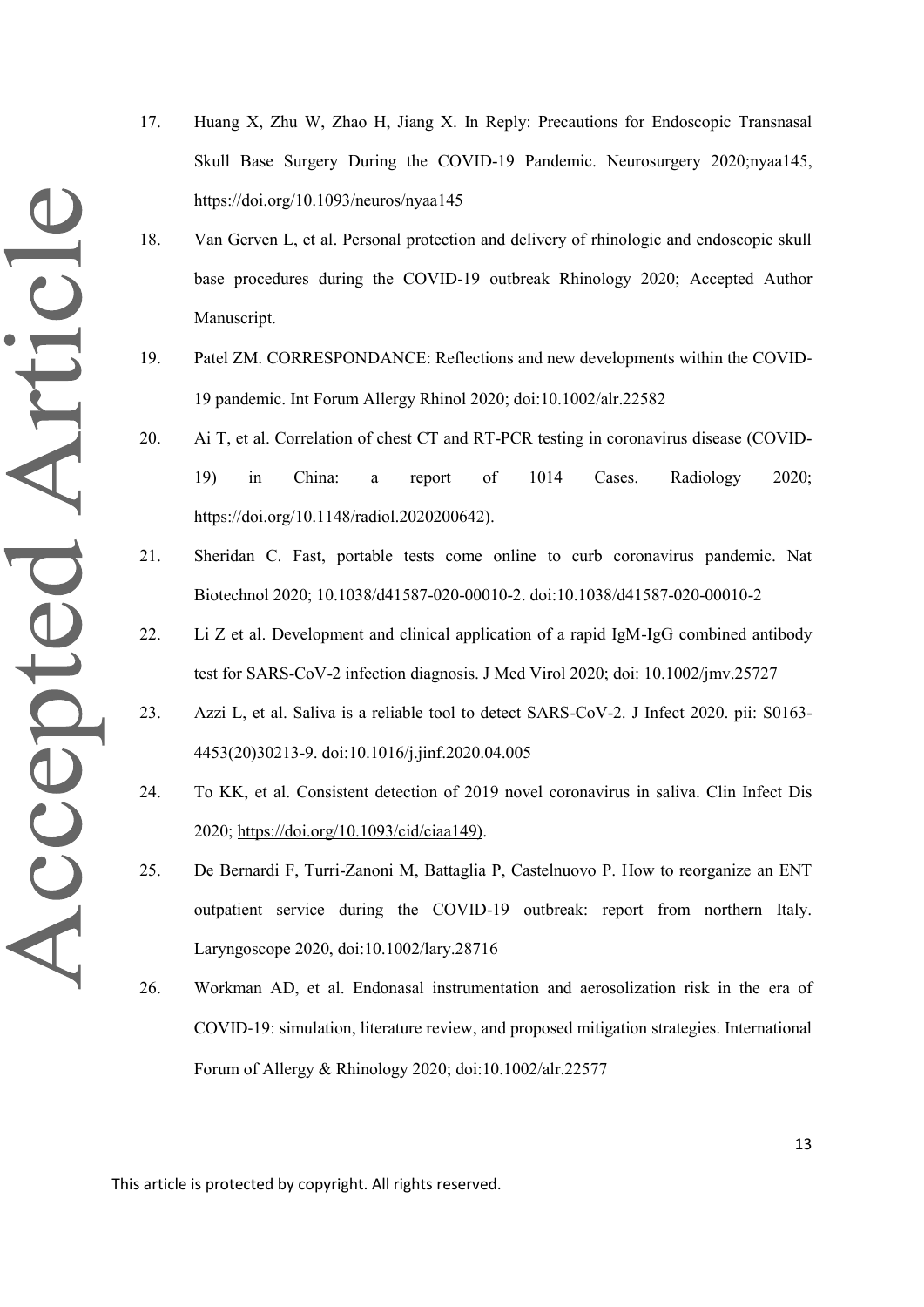- 17. Huang X, Zhu W, Zhao H, Jiang X. In Reply: Precautions for Endoscopic Transnasal Skull Base Surgery During the COVID-19 Pandemic. Neurosurgery 2020;nyaa145, https://doi.org/10.1093/neuros/nyaa145
- 18. Van Gerven L, et al. Personal protection and delivery of rhinologic and endoscopic skull base procedures during the COVID-19 outbreak Rhinology 2020; Accepted Author Manuscript.
- 19. Patel ZM. CORRESPONDANCE: Reflections and new developments within the COVID‐ 19 pandemic. Int Forum Allergy Rhinol 2020; doi:10.1002/alr.22582
- 20. Ai T, et al. Correlation of chest CT and RT-PCR testing in coronavirus disease (COVID-19) in China: a report of 1014 Cases. Radiology 2020; https://doi.org/10.1148/radiol.2020200642).
- 21. Sheridan C. Fast, portable tests come online to curb coronavirus pandemic. Nat Biotechnol 2020; 10.1038/d41587-020-00010-2. doi:10.1038/d41587-020-00010-2
- 22. Li Z et al. Development and clinical application of a rapid IgM-IgG combined antibody test for SARS-CoV-2 infection diagnosis. J Med Virol 2020; doi: 10.1002/jmv.25727
- 23. Azzi L, et al. Saliva is a reliable tool to detect SARS-CoV-2. J Infect 2020. pii: S0163- 4453(20)30213-9. doi:10.1016/j.jinf.2020.04.005
- 24. To KK, et al. Consistent detection of 2019 novel coronavirus in saliva. Clin Infect Dis 2020; [https://doi.org/10.1093/cid/ciaa149\).](https://doi.org/10.1093/cid/ciaa149))
- 25. De Bernardi F, Turri-Zanoni M, Battaglia P, Castelnuovo P. How to reorganize an ENT outpatient service during the COVID-19 outbreak: report from northern Italy. Laryngoscope 2020, doi:10.1002/lary.28716
- 26. Workman AD, et al. Endonasal instrumentation and aerosolization risk in the era of COVID‐19: simulation, literature review, and proposed mitigation strategies. International Forum of Allergy & Rhinology 2020; doi:10.1002/alr.22577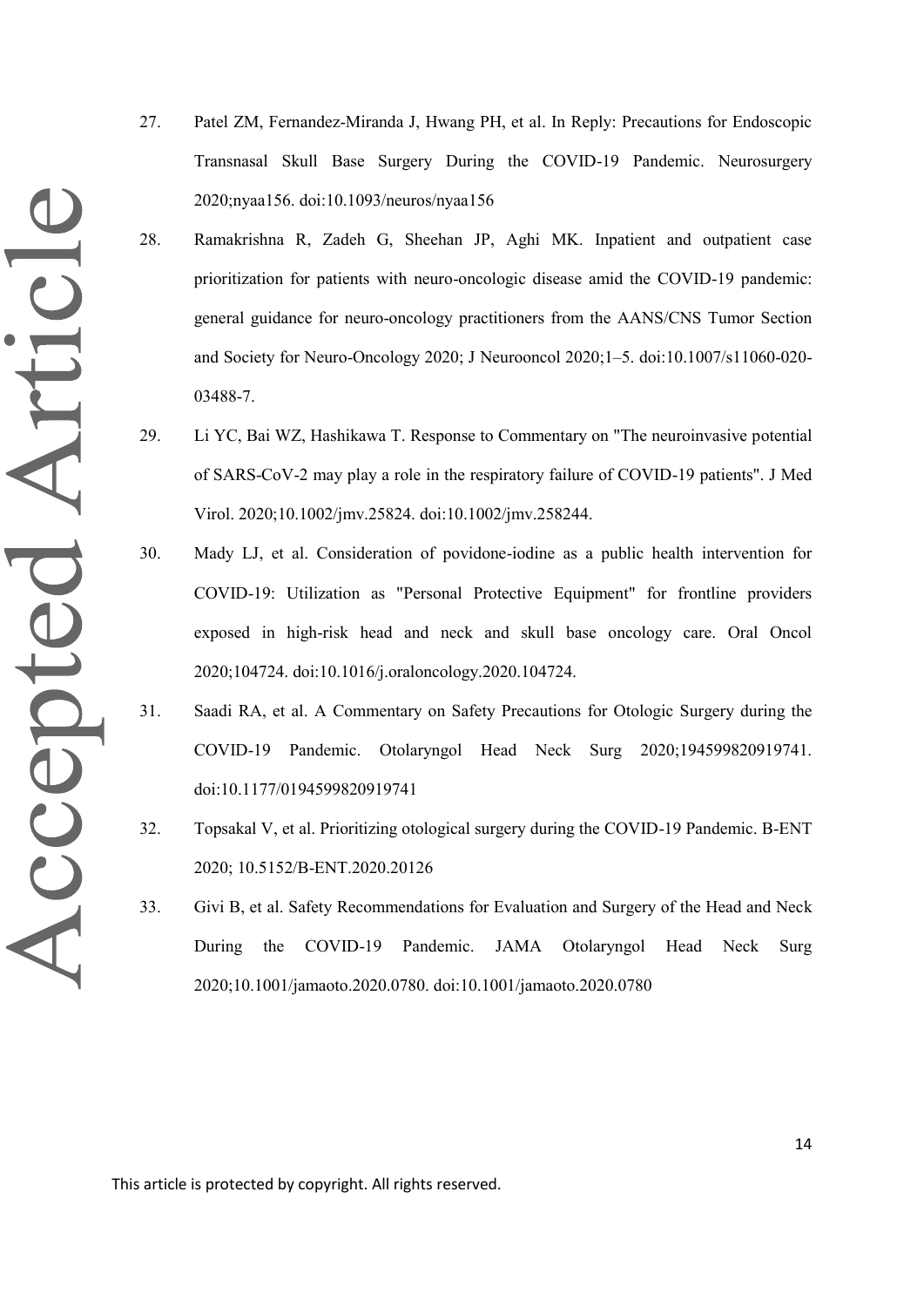- Accepted Article
- 27. Patel ZM, Fernandez-Miranda J, Hwang PH, et al. In Reply: Precautions for Endoscopic Transnasal Skull Base Surgery During the COVID-19 Pandemic. Neurosurgery 2020;nyaa156. doi:10.1093/neuros/nyaa156
- 28. Ramakrishna R, Zadeh G, Sheehan JP, Aghi MK. Inpatient and outpatient case prioritization for patients with neuro-oncologic disease amid the COVID-19 pandemic: general guidance for neuro-oncology practitioners from the AANS/CNS Tumor Section and Society for Neuro-Oncology 2020; J Neurooncol 2020;1–5. doi:10.1007/s11060-020- 03488-7.
- 29. Li YC, Bai WZ, Hashikawa T. Response to Commentary on "The neuroinvasive potential of SARS-CoV-2 may play a role in the respiratory failure of COVID-19 patients". J Med Virol. 2020;10.1002/jmv.25824. doi:10.1002/jmv.258244.
- 30. Mady LJ, et al. Consideration of povidone-iodine as a public health intervention for COVID-19: Utilization as "Personal Protective Equipment" for frontline providers exposed in high-risk head and neck and skull base oncology care. Oral Oncol 2020;104724. doi:10.1016/j.oraloncology.2020.104724.
- 31. Saadi RA, et al. A Commentary on Safety Precautions for Otologic Surgery during the COVID-19 Pandemic. Otolaryngol Head Neck Surg 2020;194599820919741. doi:10.1177/0194599820919741
- 32. Topsakal V, et al. Prioritizing otological surgery during the COVID-19 Pandemic. B-ENT 2020; 10.5152/B-ENT.2020.20126
- 33. Givi B, et al. Safety Recommendations for Evaluation and Surgery of the Head and Neck During the COVID-19 Pandemic. JAMA Otolaryngol Head Neck Surg 2020;10.1001/jamaoto.2020.0780. doi:10.1001/jamaoto.2020.0780